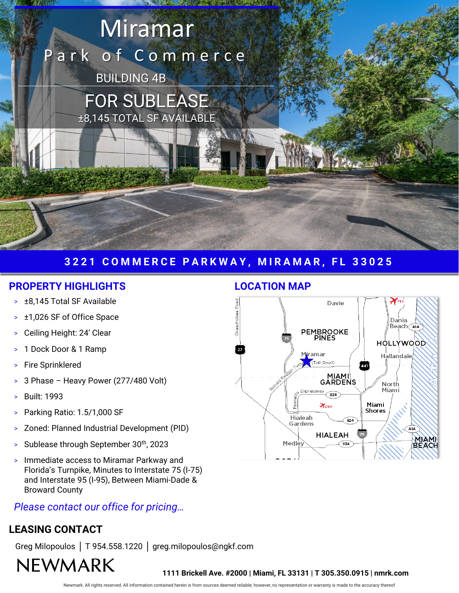# Miramar ark of Commerce BUILDING 4B FOR SUBLEASE

±8,145 TOTAL SF AVAILABLE

## **3 2 2 1 C O M M E R C E P A R K W A Y , M I R A M A R , F L 3 3 0 2 5**

#### **PROPERTY HIGHLIGHTS LOCATION MAP**

- > ±8,145 Total SF Available
- > ±1,026 SF of Office Space
- > Ceiling Height: 24' Clear
- > 1 Dock Door & 1 Ramp
- Fire Sprinklered
- > 3 Phase Heavy Power (277/480 Volt)
- > Built: 1993
- > Parking Ratio: 1.5/1,000 SF
- > Zoned: Planned Industrial Development (PID)
- Sublease through September 30th, 2023
- > Immediate access to Miramar Parkway and Florida's Turnpike, Minutes to Interstate 75 (I-75) and Interstate 95 (I-95), Between Miami-Dade & Broward County

## *Please contact our office for pricing…*

## **LEASING CONTACT**

Greg Milopoulos │ T 954.558.1220 │ greg.milopoulos@ngkf.com

## **NEWMARK**



 $\mathbf{Z}$  ,  $\mathbf{Z}$  ,  $\mathbf{z}$  ,  $\mathbf{z}$  ,  $\mathbf{z}$  ,  $\mathbf{z}$  ,  $\mathbf{z}$  ,  $\mathbf{z}$  ,  $\mathbf{z}$  ,  $\mathbf{z}$  ,  $\mathbf{z}$  ,  $\mathbf{z}$  ,  $\mathbf{z}$  ,  $\mathbf{z}$  ,  $\mathbf{z}$  ,  $\mathbf{z}$  ,  $\mathbf{z}$  ,  $\mathbf{z}$  ,  $\mathbf{z}$  ,  $\mathbf{z}$  ,

**1111 Brickell Ave. #2000 | Miami, FL 33131 | T 305.350.0915 | nmrk.com**